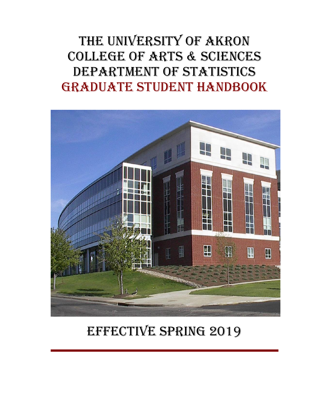THE UNIVERSITY OF AKRON College of Arts & Sciences DEPARTMENT OF STATISTICS Graduate Student Handbook



Effective SPRING 2019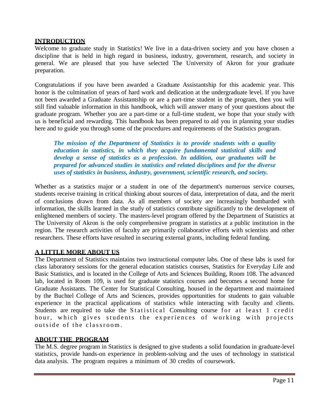# **INTRODUCTION**

Welcome to graduate study in Statistics! We live in a data-driven society and you have chosen a discipline that is held in high regard in business, industry, government, research, and society in general. We are pleased that you have selected The University of Akron for your graduate preparation.

Congratulations if you have been awarded a Graduate Assistantship for this academic year. This honor is the culmination of years of hard work and dedication at the undergraduate level. If you have not been awarded a Graduate Assistantship or are a part-time student in the program, then you will still find valuable information in this handbook, which will answer many of your questions about the graduate program. Whether you are a part-time or a full-time student, we hope that your study with us is beneficial and rewarding. This handbook has been prepared to aid you in planning your studies here and to guide you through some of the procedures and requirements of the Statistics program.

*The mission of the Department of Statistics is to provide students with a quality education in statistics, in which they acquire fundamental statistical skills and develop a sense of statistics as a profession. In addition, our graduates will be prepared for advanced studies in statistics and related disciplines and for the diverse uses of statistics in business, industry, government, scientific research, and society.*

Whether as a statistics major or a student in one of the department's numerous service courses, students receive training in critical thinking about sources of data, interpretation of data, and the merit of conclusions drawn from data. As all members of society are increasingly bombarded with information, the skills learned in the study of statistics contribute significantly to the development of enlightened members of society. The masters-level program offered by the Department of Statistics at The University of Akron is the only comprehensive program in statistics at a public institution in the region. The research activities of faculty are primarily collaborative efforts with scientists and other researchers. These efforts have resulted in securing external grants, including federal funding.

# **A LITTLE MORE ABOUT US**

The Department of Statistics maintains two instructional computer labs. One of these labs is used for class laboratory sessions for the general education statistics courses, Statistics for Everyday Life and Basic Statistics, and is located in the College of Arts and Sciences Building, Room 108. The advanced lab, located in Room 109, is used for graduate statistics courses and becomes a second home for Graduate Assistants. The Center for Statistical Consulting, housed in the department and maintained by the Buchtel College of Arts and Sciences, provides opportunities for students to gain valuable experience in the practical applications of statistics while interacting with faculty and clients. Students are required to take the Statistical Consulting course for at least 1 credit hour, which gives students the experiences of working with projects outside of the classroom.

#### **ABOUT THE PROGRAM**

The M.S. degree program in Statistics is designed to give students a solid foundation in graduate-level statistics, provide hands-on experience in problem-solving and the uses of technology in statistical data analysis. The program requires a minimum of 30 credits of coursework.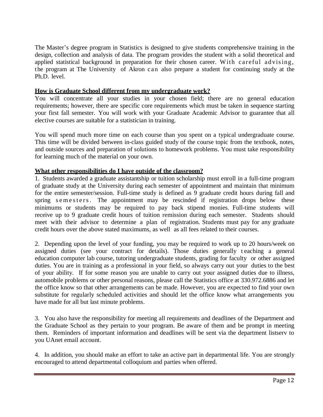The Master's degree program in Statistics is designed to give students comprehensive training in the design, collection and analysis of data. The program provides the student with a solid theoretical and applied statistical background in preparation for their chosen career. With careful advising, the program at The University of Akron can also prepare a student for continuing study at the Ph.D. level.

#### **How is Graduate School different from my undergraduate work?**

You will concentrate all your studies in your chosen field; there are no general education requirements; however, there are specific core requirements which must be taken in sequence starting your first fall semester. You will work with your Graduate Academic Advisor to guarantee that all elective courses are suitable for a statistician in training.

You will spend much more time on each course than you spent on a typical undergraduate course. This time will be divided between in-class guided study of the course topic from the textbook, notes, and outside sources and preparation of solutions to homework problems. You must take responsibility for learning much of the material on your own.

#### **What other responsibilities do I have outside of the classroom?**

1. Students awarded a graduate assistantship or tuition scholarship must enroll in a full-time program of graduate study at the University during each semester of appointment and maintain that minimum for the entire semester/session. Full-time study is defined as 9 graduate credit hours during fall and spring semesters. The appointment may be rescinded if registration drops below these minimums or students may be required to pay back stipend monies. Full-time students will receive up to 9 graduate credit hours of tuition remission during each semester. Students should meet with their advisor to determine a plan of registration. Students must pay for any graduate credit hours over the above stated maximums, as well as all fees related to their courses.

2. Depending upon the level of your funding, you may be required to work up to 20 hours/week on assigned duties (see your contract for details). Those duties generally t eaching a general education computer lab course, tutoring undergraduate students, grading for faculty or other assigned duties. You are in training as a professional in your field, so always carry out your duties to the best of your ability. If for some reason you are unable to carry out your assigned duties due to illness, automobile problems or other personal reasons, please call the Statistics office at 330.972.6886 and let the office know so that other arrangements can be made. However, you are expected to find your own substitute for regularly scheduled activities and should let the office know what arrangements you have made for all but last minute problems.

3. You also have the responsibility for meeting all requirements and deadlines of the Department and the Graduate School as they pertain to your program. Be aware of them and be prompt in meeting them. Reminders of important information and deadlines will be sent via the department listserv to you UAnet email account.

4. In addition, you should make an effort to take an active part in departmental life. You are strongly encouraged to attend departmental colloquium and parties when offered.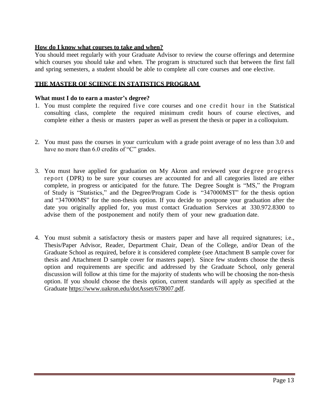#### **How do I know what courses to take and when?**

You should meet regularly with your Graduate Advisor to review the course offerings and determine which courses you should take and when. The program is structured such that between the first fall and spring semesters, a student should be able to complete all core courses and one elective.

### **THE MASTER OF SCIENCE IN STATISTICS PROGRAM**

#### **What must I do to earn a master's degree?**

- 1. You must complete the required five core courses and one credit hour in the Statistical consulting class, complete the required minimum credit hours of course electives, and complete either a thesis or masters paper as well as present the thesis or paper in a colloquium.
- 2. You must pass the courses in your curriculum with a grade point average of no less than 3.0 and have no more than 6.0 credits of "C" grades.
- 3. You must have applied for graduation on My Akron and reviewed your degree progress report (DPR) to be sure your courses are accounted for and all categories listed are either complete, in progress or anticipated for the future. The Degree Sought is "MS," the Program of Study is "Statistics," and the Degree/Program Code is "347000MST" for the thesis option and "347000MS" for the non-thesis option. If you decide to postpone your graduation after the date you originally applied for, you must contact Graduation Services at 330.972.8300 to advise them of the postponement and notify them of your new graduation date.
- 4. You must submit a satisfactory thesis or masters paper and have all required signatures; i.e., Thesis/Paper Advisor, Reader, Department Chair, Dean of the College, and/or Dean of the Graduate School as required, before it is considered complete (see Attachment B sample cover for thesis and Attachment D sample cover for masters paper). Since few students choose the thesis option and requirements are specific and addressed by the Graduate School, only general discussion will follow at this time for the majority of students who will be choosing the non-thesis option. If you should choose the thesis option, current standards will apply as specified at the Graduate [https://www.uakron.edu/dotAsset/678007.pdf.](https://www.uakron.edu/dotAsset/678007.pdf)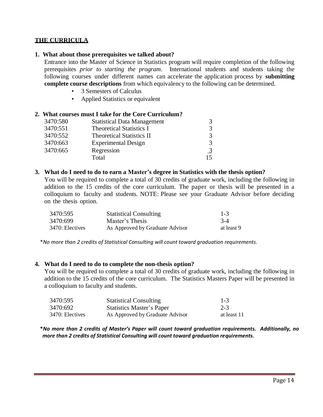# **THE CURRICULA**

#### **1. What about those prerequisites we talked about?**

Entrance into the Master of Science in Statistics program will require completion of the following prerequisites *prior to starting the program*. International students and students taking the following courses under different names can accelerate the application process by **submitting complete course descriptions** from which equivalency to the following can be determined.

- 3 Semesters of Calculus
- Applied Statistics or equivalent

#### **2. What courses must I take for the Core Curriculum?**

| 3470:580 | <b>Statistical Data Management</b> |    |
|----------|------------------------------------|----|
| 3470:551 | <b>Theoretical Statistics I</b>    |    |
| 3470:552 | <b>Theoretical Statistics II</b>   |    |
| 3470:663 | <b>Experimental Design</b>         |    |
| 3470:665 | Regression                         | 3  |
|          | Total                              | 15 |

#### **3. What do I need to do to earn a Master's degree in Statistics with the thesis option?**

You will be required to complete a total of 30 credits of graduate work, including the following in addition to the 15 credits of the core curriculum. The paper or thesis will be presented in a colloquium to faculty and students. NOTE: Please see your Graduate Advisor before deciding on the thesis option.

| 3470:595        | <b>Statistical Consulting</b>   | $1 - 3$    |
|-----------------|---------------------------------|------------|
| 3470:699        | Master's Thesis                 | $3-4$      |
| 3470: Electives | As Approved by Graduate Advisor | at least 9 |

\**No more than 2 credits of Statistical Consulting will count toward graduation requirements.*

#### **4. What do I need to do to complete the non-thesis option?**

You will be required to complete a total of 30 credits of graduate work, including the following in addition to the 15 credits of the core curriculum. The Statistics Masters Paper will be presented in a colloquium to faculty and students.

| 3470:595        | <b>Statistical Consulting</b>    | $1 - 3$     |
|-----------------|----------------------------------|-------------|
| 3470:692        | <b>Statistics Master's Paper</b> | $2 - 3$     |
| 3470: Electives | As Approved by Graduate Advisor  | at least 11 |

**\****No more than 2 credits of Master's Paper will count toward graduation requirements. Additionally, no more than 2 credits of Statistical Consulting will count toward graduation requirements.*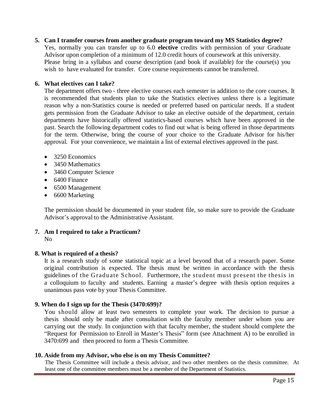#### **5. Can I transfer courses from another graduate program toward my MS Statistics degree?**

Yes, normally you can transfer up to 6.0 **elective** credits with permission of your Graduate Advisor upon completion of a minimum of 12.0 credit hours of coursework at this university. Please bring in a syllabus and course description (and book if available) for the course(s) you wish to have evaluated for transfer. Core course requirements cannot be transferred.

# **6. What electives can I take?**

The department offers two - three elective courses each semester in addition to the core courses. It is recommended that students plan to take the Statistics electives unless there is a legitimate reason why a non-Statistics course is needed or preferred based on particular needs. If a student gets permission from the Graduate Advisor to take an elective outside of the department, certain departments have historically offered statistics-based courses which have been approved in the past. Search the following department codes to find out what is being offered in those departments for the term. Otherwise, bring the course of your choice to the Graduate Advisor for his/her approval. For your convenience, we maintain a list of external electives approved in the past.

- 3250 Economics
- 3450 Mathematics
- 3460 Computer Science
- 6400 Finance
- 6500 Management
- 6600 Marketing

The permission should be documented in your student file, so make sure to provide the Graduate Advisor's approval to the Administrative Assistant.

# **7. Am I required to take a Practicum?**

No

# **8. What is required of a thesis?**

It is a research study of some statistical topic at a level beyond that of a research paper. Some original contribution is expected. The thesis must be written in accordance with the thesis guidelines of the Graduate School. Furthermore, the student must present the thesis in a colloquium to faculty and students. Earning a master's degree with thesis option requires a unanimous pass vote by your Thesis Committee.

#### **9. When do I sign up for the Thesis (3470:699)?**

You should allow at least two semesters to complete your work. The decision to pursue a thesis should only be made after consultation with the faculty member under whom you are carrying out the study. In conjunction with that faculty member, the student should complete the "Request for Permission to Enroll in Master's Thesis" form (see Attachment A) to be enrolled in 3470:699 and then proceed to form a Thesis Committee.

#### **10. Aside from my Advisor, who else is on my Thesis Committee?**

The Thesis Committee will include a thesis advisor, and two other members on the thesis committee. At least one of the committee members must be a member of the Department of Statistics.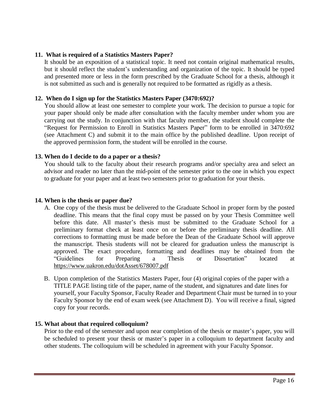### **11. What is required of a Statistics Masters Paper?**

It should be an exposition of a statistical topic. It need not contain original mathematical results, but it should reflect the student's understanding and organization of the topic. It should be typed and presented more or less in the form prescribed by the Graduate School for a thesis, although it is not submitted as such and is generally not required to be formatted as rigidly as a thesis.

#### **12. When do I sign up for the Statistics Masters Paper (3470:692)?**

You should allow at least one semester to complete your work. The decision to pursue a topic for your paper should only be made after consultation with the faculty member under whom you are carrying out the study. In conjunction with that faculty member, the student should complete the "Request for Permission to Enroll in Statistics Masters Paper" form to be enrolled in 3470:692 (see Attachment C) and submit it to the main office by the published deadline. Upon receipt of the approved permission form, the student will be enrolled in the course.

#### **13. When do I decide to do a paper or a thesis?**

You should talk to the faculty about their research programs and/or specialty area and select an advisor and reader no later than the mid-point of the semester prior to the one in which you expect to graduate for your paper and at least two semesters prior to graduation for your thesis.

#### **14. When is the thesis or paper due?**

- A. One copy of the thesis must be delivered to the Graduate School in proper form by the posted deadline. This means that the final copy must be passed on by your Thesis Committee well before this date. All master's thesis must be submitted to the Graduate School for a preliminary format check at least once on or before the preliminary thesis deadline. All corrections to formatting must be made before the Dean of the Graduate School will approve the manuscript. Thesis students will not be cleared for graduation unless the manuscript is approved. The exact procedure, formatting and deadlines may be obtained from the "Guidelines for Preparing a Thesis or Dissertation" located at <https://www.uakron.edu/dotAsset/678007.pdf>
- B. Upon completion of the Statistics Masters Paper, four (4) original copies of the paper with a TITLE PAGE listing title of the paper, name of the student, and signatures and date lines for yourself, your Faculty Sponsor, Faculty Reader and Department Chair must be turned in to your Faculty Sponsor by the end of exam week (see Attachment D). You will receive a final, signed copy for your records.

#### **15. What about that required colloquium?**

Prior to the end of the semester and upon near completion of the thesis or master's paper, you will be scheduled to present your thesis or master's paper in a colloquium to department faculty and other students. The colloquium will be scheduled in agreement with your Faculty Sponsor.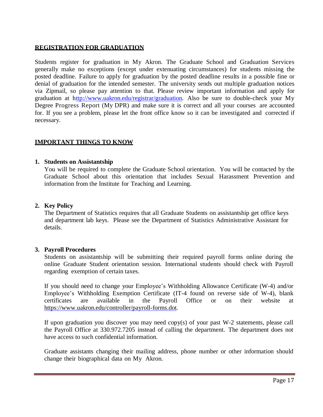#### **REGISTRATION FOR GRADUATION**

Students register for graduation in My Akron. The Graduate School and Graduation Services generally make no exceptions (except under extenuating circumstances) for students missing the posted deadline. Failure to apply for graduation by the posted deadline results in a possible fine or denial of graduation for the intended semester. The university sends out multiple graduation notices via Zipmail, so please pay attention to that. Please review important information and apply for graduation at http://www.uakron.edu/registrar/graduation. Also be sure to double-check your My Degree Progress Report (My DPR) and make sure it is correct and all your courses are accounted for. If you see a problem, please let the front office know so it can be investigated and corrected if necessary.

#### **IMPORTANT THINGS TO KNOW**

#### **1. Students on Assistantship**

You will be required to complete the Graduate School orientation. You will be contacted by the Graduate School about this orientation that includes Sexual Harassment Prevention and information from the Institute for Teaching and Learning.

#### **2. Key Policy**

The Department of Statistics requires that all Graduate Students on assistantship get office keys and department lab keys. Please see the Department of Statistics Administrative Assistant for details.

#### **3. Payroll Procedures**

Students on assistantship will be submitting their required payroll forms online during the online Graduate Student orientation session. International students should check with Payroll regarding exemption of certain taxes.

If you should need to change your Employee's Withholding Allowance Certificate (W-4) and/or Employee's Withholding Exemption Certificate (IT-4 found on reverse side of W-4), blank certificates are available in the Payroll Office or on their website at [https://www.uakron.edu/controller/payroll-forms.dot.](https://www.uakron.edu/controller/payroll-forms.dot)

If upon graduation you discover you may need copy(s) of your past W-2 statements, please call the Payroll Office at 330.972.7205 instead of calling the department. The department does not have access to such confidential information.

Graduate assistants changing their mailing address, phone number or other information should change their biographical data on My Akron.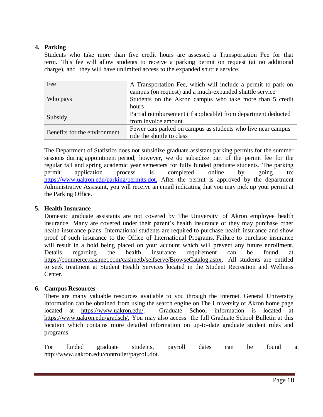# **4. Parking**

Students who take more than five credit hours are assessed a Transportation Fee for that term. This fee will allow students to receive a parking permit on request (at no additional charge), and they will have unlimited access to the expanded shuttle service.

| Fee                          | A Transportation Fee, which will include a permit to park on   |  |
|------------------------------|----------------------------------------------------------------|--|
|                              | campus (on request) and a much-expanded shuttle service        |  |
| Who pays                     | Students on the Akron campus who take more than 5 credit       |  |
|                              | hours                                                          |  |
| Subsidy                      | Partial reimbursement (if applicable) from department deducted |  |
|                              | from invoice amount                                            |  |
| Benefits for the environment | Fewer cars parked on campus as students who live near campus   |  |
|                              | ride the shuttle to class                                      |  |

The Department of Statistics does not subsidize graduate assistant parking permits for the summer sessions during appointment period; however, we do subsidize part of the permit fee for the regular fall and spring academic year semesters for fully funded graduate students. The parking permit application process is completed online by going to: <https://www.uakron.edu/parking/permits.dot.> After the permit is approved by the department Administrative Assistant, you will receive an email indicating that you may pick up your permit at the Parking Office.

# **5. Health Insurance**

Domestic graduate assistants are not covered by The University of Akron employee health insurance. Many are covered under their parent's health insurance or they may purchase other health insurance plans. International students are required to purchase health insurance and show proof of such insurance to the Office of International Programs. Failure to purchase insurance will result in a hold being placed on your account which will prevent any future enrollment. Details regarding the health insurance requirement can be found at [https://commerce.cashnet.com/cashnetb/selfserve/BrowseCatalog.aspx.](https://commerce.cashnet.com/cashnetb/selfserve/BrowseCatalog.aspx) All students are entitled to seek treatment at Student Health Services located in the Student Recreation and Wellness Center.

# **6. Campus Resources**

There are many valuable resources available to you through the Internet. General University information can be obtained from using the search engine on The University of Akron home page located at [https://www.uakron.edu/.](https://www.uakron.edu/) Graduate School information is located at [https://www.uakron.edu/gradsch/.](https://www.uakron.edu/gradsch/) You may also access the full Graduate School Bulletin at this location which contains more detailed information on up-to-date graduate student rules and programs.

For funded graduate students, payroll dates can be found at [http://www.uakron.edu/controller/payroll.dot.](http://www.uakron.edu/controller/payroll.dot)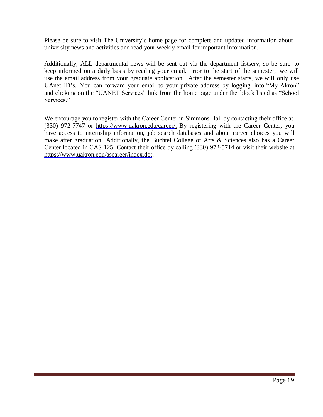Please be sure to visit The University's home page for complete and updated information about university news and activities and read your weekly email for important information.

Additionally, ALL departmental news will be sent out via the department listserv, so be sure to keep informed on a daily basis by reading your email. Prior to the start of the semester, we will use the email address from your graduate application. After the semester starts, we will only use UAnet ID's. You can forward your email to your private address by logging into "My Akron" and clicking on the "UANET Services" link from the home page under the block listed as "School Services."

We encourage you to register with the Career Center in Simmons Hall by contacting their office at (330) 972-7747 or [https://www.uakron.edu/career/.](https://www.uakron.edu/career/) By registering with the Career Center, you have access to internship information, job search databases and about career choices you will make after graduation. Additionally, the Buchtel College of Arts & Sciences also has a Career Center located in CAS 125. Contact their office by calling (330) 972-5714 or visit their website at [https://www.uakron.edu/ascareer/index.dot.](https://www.uakron.edu/ascareer/index.dot)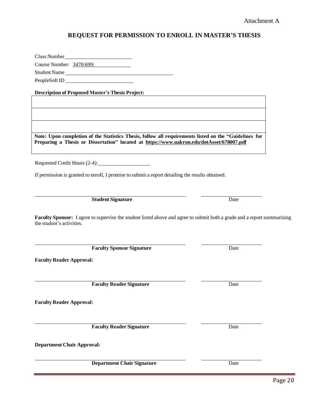#### **REQUEST FOR PERMISSION TO ENROLL IN MASTER'S THESIS**

Class Number

Course Number: 3470:699:

Student Name

PeopleSoft ID

**Descriptionof Proposed Master's Thesis Project:**

**Note: Upon completion of the Statistics Thesis, follow all requirements listed on the "Guidelines for Preparing a Thesis or Dissertation" located at <https://www.uakron.edu/dotAsset/678007.pdf>**

Requested Credit Hours (2-4):

If permission is granted to enroll, I promise to submit a report detailing the results obtained.

**Student Signature** Date

**Faculty Sponsor:** I agree to supervise the student listed above and agree to submit both a grade and a report summarizing the student's activities.

**Faculty Sponsor Signature** Date

**Faculty Reader Approval:**

**Faculty Reader Signature** Date

**Faculty Reader Approval:**

**Faculty Reader Signature** Date

**Department Chair Approval:**

**Department Chair Signature** Date

Page 20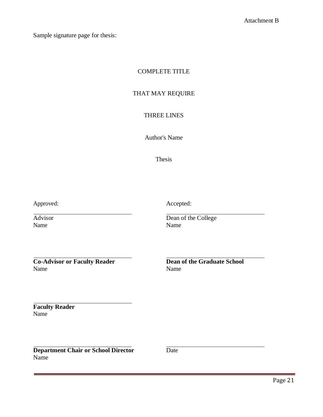Sample signature page for thesis:

# COMPLETE TITLE

# THAT MAY REQUIRE

#### THREE LINES

Author's Name

Thesis

Approved: Accepted: Accepted:

Name Name Name

Advisor Dean of the College Name

**Co-Advisor or Faculty Reader Dean of the Graduate School** Name Name Name

**Faculty Reader** Name

**Department Chair or School Director** Date Name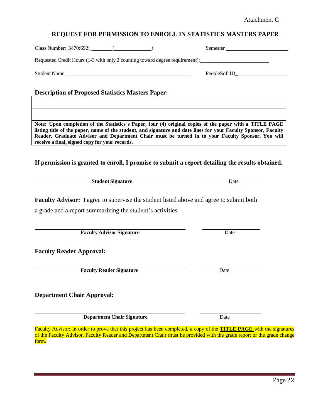Attachment C

# **REQUEST FOR PERMISSION TO ENROLL IN STATISTICS MASTERS PAPER**

| Class Number: $3470:692:$ (2004)                                                                                                                                                                                                                                                                                                                                                   | Semester |
|------------------------------------------------------------------------------------------------------------------------------------------------------------------------------------------------------------------------------------------------------------------------------------------------------------------------------------------------------------------------------------|----------|
| Requested Credit Hours (1-3 with only 2 counting toward degree requirement): _______________________                                                                                                                                                                                                                                                                               |          |
| Student Name                                                                                                                                                                                                                                                                                                                                                                       |          |
| <b>Description of Proposed Statistics Masters Paper:</b>                                                                                                                                                                                                                                                                                                                           |          |
|                                                                                                                                                                                                                                                                                                                                                                                    |          |
| Note: Upon completion of the Statistics s Paper, four (4) original copies of the paper with a TITLE PAGE<br>listing title of the paper, name of the student, and signature and date lines for your Faculty Sponsor, Faculty<br>Reader, Graduate Advisor and Department Chair must be turned in to your Faculty Sponsor. You will<br>receive a final, signed copy for your records. |          |
| If permission is granted to enroll, I promise to submit a report detailing the results obtained.                                                                                                                                                                                                                                                                                   |          |
| <b>Student Signature</b>                                                                                                                                                                                                                                                                                                                                                           | Date     |
| <b>Faculty Advisor:</b> I agree to supervise the student listed above and agree to submit both                                                                                                                                                                                                                                                                                     |          |
| a grade and a report summarizing the student's activities.                                                                                                                                                                                                                                                                                                                         |          |
| <b>Faculty Advisor Signature</b>                                                                                                                                                                                                                                                                                                                                                   | Date     |
| <b>Faculty Reader Approval:</b>                                                                                                                                                                                                                                                                                                                                                    |          |
| <b>Faculty Reader Signature</b>                                                                                                                                                                                                                                                                                                                                                    | Date     |
| <b>Department Chair Approval:</b>                                                                                                                                                                                                                                                                                                                                                  |          |
| <b>Department Chair Signature</b>                                                                                                                                                                                                                                                                                                                                                  | Date     |
| Faculty Advisor: In order to prove that this project has been completed, a copy of the <b>TITLE PAGE</b> with the signatures<br>of the Faculty Advisor, Faculty Reader and Department Chair must be provided with the grade report or the grade change<br>form.                                                                                                                    |          |